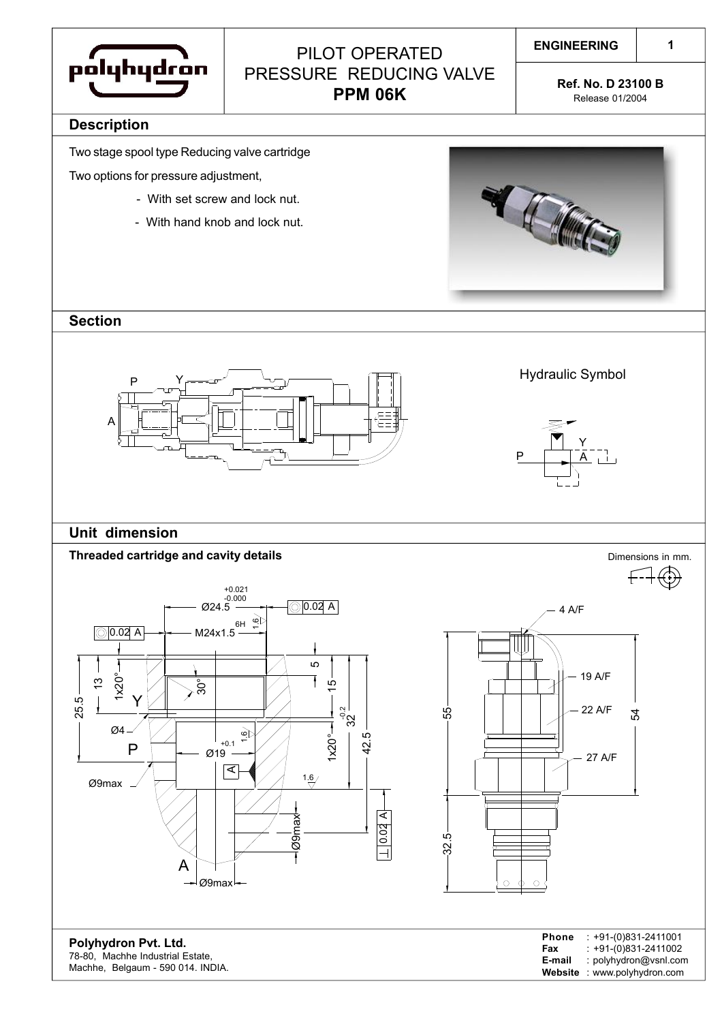

# PILOT OPERATED PRESSURE REDUCING VALVE **PPM 06K Ref. No. D 23100 B**<br>**PPM 06K** Release 01/2004

**1**

Release 01/2004

#### **Description**

Two stage spool type Reducing valve cartridge

Two options for pressure adjustment,

- With set screw and lock nut.
- With hand knob and lock nut.



### **Section**



Hydraulic Symbol



4 A/F

## **Unit dimension**

## **Threaded cartridge and cavity details Dimensions in mm.** Dimensions in mm.



19 A/F 22 A/F 55  $\mathcal{L}$ 27 A/F 32.5  $\circ$ 

**Polyhydron Pvt. Ltd.** 78-80, Machhe Industrial Estate, Machhe, Belgaum - 590 014. INDIA.

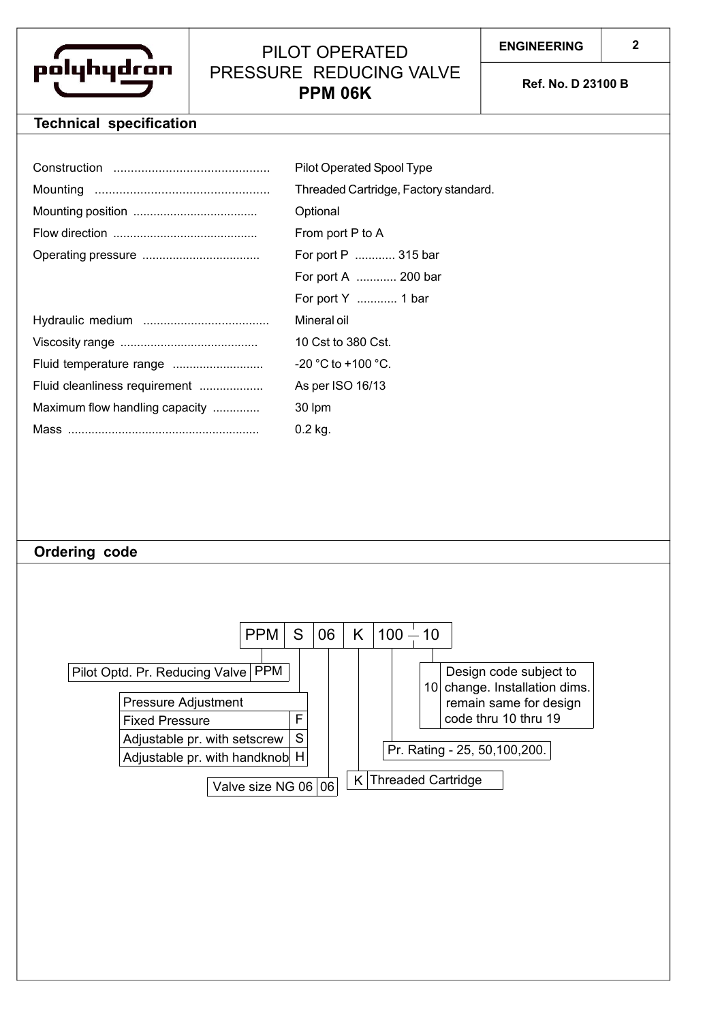

# PILOT OPERATED PRESSURE REDUCING VALVE **PPM 06K Ref. No. D 23100 B**

# **Technical specification**

|                                | Pilot Operated Spool Type             |
|--------------------------------|---------------------------------------|
|                                | Threaded Cartridge, Factory standard. |
|                                | Optional                              |
|                                | From port P to A                      |
|                                | For port P  315 bar                   |
|                                | For port A  200 bar                   |
|                                | For port Y  1 bar                     |
|                                | Mineral oil                           |
|                                | 10 Cst to 380 Cst.                    |
|                                | $-20$ °C to +100 °C.                  |
| Fluid cleanliness requirement  | As per ISO 16/13                      |
| Maximum flow handling capacity | 30 lpm                                |
|                                | 0.2 kg.                               |

#### **Ordering code**